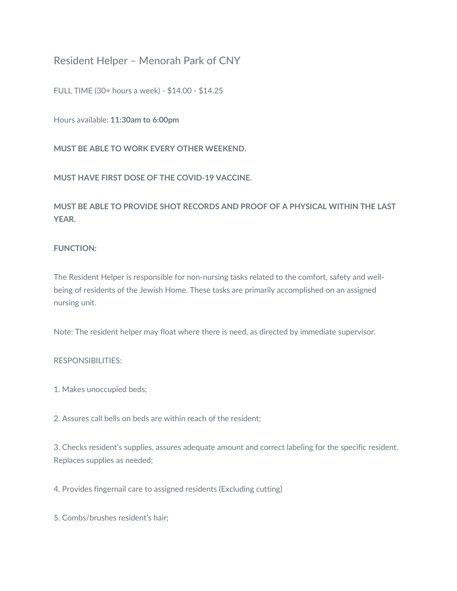# Resident Helper – Menorah Park of CNY

FULL TIME (30+ hours a week) - \$14.00 - \$14.25

Hours available: **11:30am to 6:00pm**

**MUST BE ABLE TO WORK EVERY OTHER WEEKEND.**

**MUST HAVE FIRST DOSE OF THE COVID-19 VACCINE.**

# **MUST BE ABLE TO PROVIDE SHOT RECORDS AND PROOF OF A PHYSICAL WITHIN THE LAST YEAR.**

## **FUNCTION:**

The Resident Helper is responsible for non-nursing tasks related to the comfort, safety and wellbeing of residents of the Jewish Home. These tasks are primarily accomplished on an assigned nursing unit.

Note: The resident helper may float where there is need, as directed by immediate supervisor.

#### RESPONSIBILITIES:

1. Makes unoccupied beds;

2. Assures call bells on beds are within reach of the resident;

3. Checks resident's supplies, assures adequate amount and correct labeling for the specific resident. Replaces supplies as needed;

4. Provides fingernail care to assigned residents (Excluding cutting)

5. Combs/brushes resident's hair;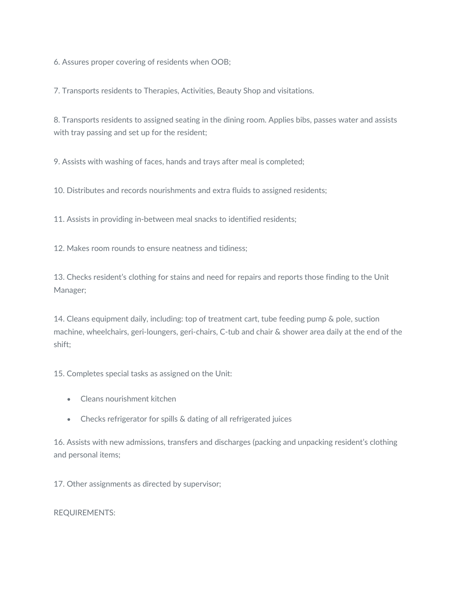6. Assures proper covering of residents when OOB;

7. Transports residents to Therapies, Activities, Beauty Shop and visitations.

8. Transports residents to assigned seating in the dining room. Applies bibs, passes water and assists with tray passing and set up for the resident;

9. Assists with washing of faces, hands and trays after meal is completed;

10. Distributes and records nourishments and extra fluids to assigned residents;

11. Assists in providing in-between meal snacks to identified residents;

12. Makes room rounds to ensure neatness and tidiness;

13. Checks resident's clothing for stains and need for repairs and reports those finding to the Unit Manager;

14. Cleans equipment daily, including: top of treatment cart, tube feeding pump & pole, suction machine, wheelchairs, geri-loungers, geri-chairs, C-tub and chair & shower area daily at the end of the shift;

15. Completes special tasks as assigned on the Unit:

- Cleans nourishment kitchen
- Checks refrigerator for spills & dating of all refrigerated juices

16. Assists with new admissions, transfers and discharges (packing and unpacking resident's clothing and personal items;

17. Other assignments as directed by supervisor;

REQUIREMENTS: